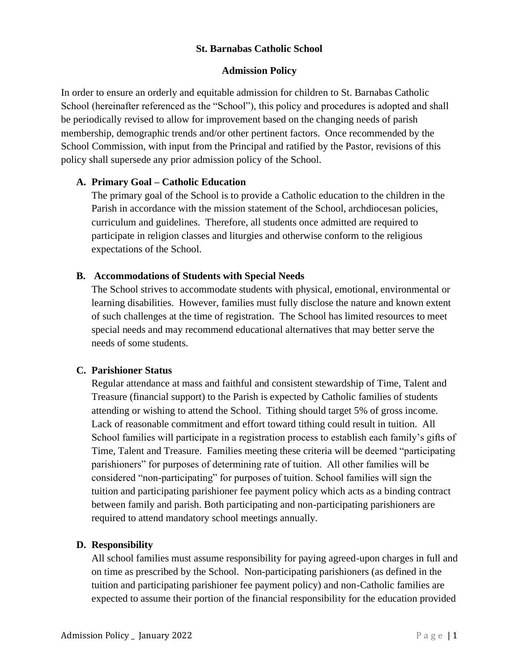### **St. Barnabas Catholic School**

#### **Admission Policy**

In order to ensure an orderly and equitable admission for children to St. Barnabas Catholic School (hereinafter referenced as the "School"), this policy and procedures is adopted and shall be periodically revised to allow for improvement based on the changing needs of parish membership, demographic trends and/or other pertinent factors. Once recommended by the School Commission, with input from the Principal and ratified by the Pastor, revisions of this policy shall supersede any prior admission policy of the School.

#### **A. Primary Goal – Catholic Education**

The primary goal of the School is to provide a Catholic education to the children in the Parish in accordance with the mission statement of the School, archdiocesan policies, curriculum and guidelines. Therefore, all students once admitted are required to participate in religion classes and liturgies and otherwise conform to the religious expectations of the School.

#### **B. Accommodations of Students with Special Needs**

The School strives to accommodate students with physical, emotional, environmental or learning disabilities. However, families must fully disclose the nature and known extent of such challenges at the time of registration. The School has limited resources to meet special needs and may recommend educational alternatives that may better serve the needs of some students.

## **C. Parishioner Status**

Regular attendance at mass and faithful and consistent stewardship of Time, Talent and Treasure (financial support) to the Parish is expected by Catholic families of students attending or wishing to attend the School. Tithing should target 5% of gross income. Lack of reasonable commitment and effort toward tithing could result in tuition. All School families will participate in a registration process to establish each family's gifts of Time, Talent and Treasure. Families meeting these criteria will be deemed "participating parishioners" for purposes of determining rate of tuition. All other families will be considered "non-participating" for purposes of tuition. School families will sign the tuition and participating parishioner fee payment policy which acts as a binding contract between family and parish. Both participating and non-participating parishioners are required to attend mandatory school meetings annually.

## **D. Responsibility**

All school families must assume responsibility for paying agreed-upon charges in full and on time as prescribed by the School. Non-participating parishioners (as defined in the tuition and participating parishioner fee payment policy) and non-Catholic families are expected to assume their portion of the financial responsibility for the education provided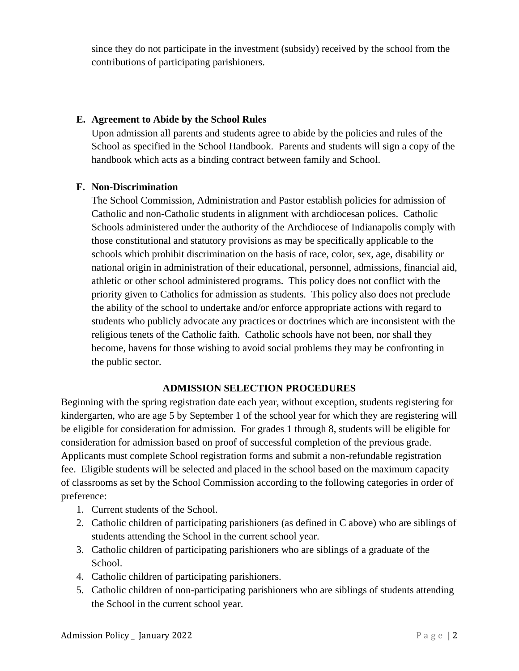since they do not participate in the investment (subsidy) received by the school from the contributions of participating parishioners.

## **E. Agreement to Abide by the School Rules**

Upon admission all parents and students agree to abide by the policies and rules of the School as specified in the School Handbook. Parents and students will sign a copy of the handbook which acts as a binding contract between family and School.

### **F. Non-Discrimination**

The School Commission, Administration and Pastor establish policies for admission of Catholic and non-Catholic students in alignment with archdiocesan polices. Catholic Schools administered under the authority of the Archdiocese of Indianapolis comply with those constitutional and statutory provisions as may be specifically applicable to the schools which prohibit discrimination on the basis of race, color, sex, age, disability or national origin in administration of their educational, personnel, admissions, financial aid, athletic or other school administered programs. This policy does not conflict with the priority given to Catholics for admission as students. This policy also does not preclude the ability of the school to undertake and/or enforce appropriate actions with regard to students who publicly advocate any practices or doctrines which are inconsistent with the religious tenets of the Catholic faith. Catholic schools have not been, nor shall they become, havens for those wishing to avoid social problems they may be confronting in the public sector.

## **ADMISSION SELECTION PROCEDURES**

Beginning with the spring registration date each year, without exception, students registering for kindergarten, who are age 5 by September 1 of the school year for which they are registering will be eligible for consideration for admission. For grades 1 through 8, students will be eligible for consideration for admission based on proof of successful completion of the previous grade. Applicants must complete School registration forms and submit a non-refundable registration fee. Eligible students will be selected and placed in the school based on the maximum capacity of classrooms as set by the School Commission according to the following categories in order of preference:

- 1. Current students of the School.
- 2. Catholic children of participating parishioners (as defined in C above) who are siblings of students attending the School in the current school year.
- 3. Catholic children of participating parishioners who are siblings of a graduate of the School.
- 4. Catholic children of participating parishioners.
- 5. Catholic children of non-participating parishioners who are siblings of students attending the School in the current school year.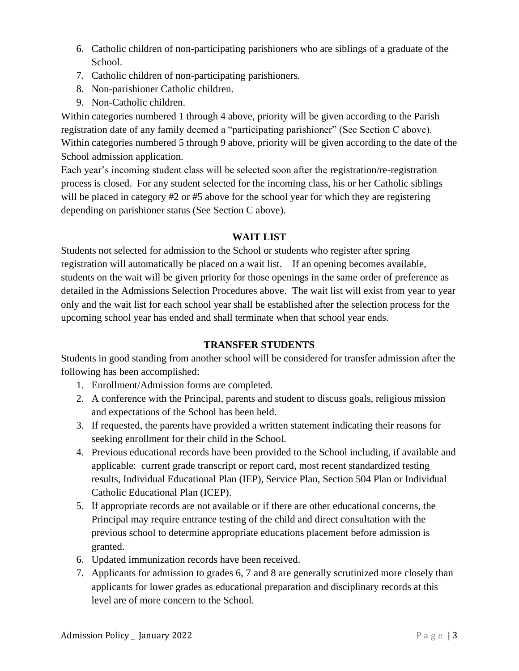- 6. Catholic children of non-participating parishioners who are siblings of a graduate of the School.
- 7. Catholic children of non-participating parishioners.
- 8. Non-parishioner Catholic children.
- 9. Non-Catholic children.

Within categories numbered 1 through 4 above, priority will be given according to the Parish registration date of any family deemed a "participating parishioner" (See Section C above). Within categories numbered 5 through 9 above, priority will be given according to the date of the School admission application.

Each year's incoming student class will be selected soon after the registration/re-registration process is closed. For any student selected for the incoming class, his or her Catholic siblings will be placed in category #2 or #5 above for the school year for which they are registering depending on parishioner status (See Section C above).

# **WAIT LIST**

Students not selected for admission to the School or students who register after spring registration will automatically be placed on a wait list. If an opening becomes available, students on the wait will be given priority for those openings in the same order of preference as detailed in the Admissions Selection Procedures above. The wait list will exist from year to year only and the wait list for each school year shall be established after the selection process for the upcoming school year has ended and shall terminate when that school year ends.

# **TRANSFER STUDENTS**

Students in good standing from another school will be considered for transfer admission after the following has been accomplished:

- 1. Enrollment/Admission forms are completed.
- 2. A conference with the Principal, parents and student to discuss goals, religious mission and expectations of the School has been held.
- 3. If requested, the parents have provided a written statement indicating their reasons for seeking enrollment for their child in the School.
- 4. Previous educational records have been provided to the School including, if available and applicable: current grade transcript or report card, most recent standardized testing results, Individual Educational Plan (IEP), Service Plan, Section 504 Plan or Individual Catholic Educational Plan (ICEP).
- 5. If appropriate records are not available or if there are other educational concerns, the Principal may require entrance testing of the child and direct consultation with the previous school to determine appropriate educations placement before admission is granted.
- 6. Updated immunization records have been received.
- 7. Applicants for admission to grades 6, 7 and 8 are generally scrutinized more closely than applicants for lower grades as educational preparation and disciplinary records at this level are of more concern to the School.